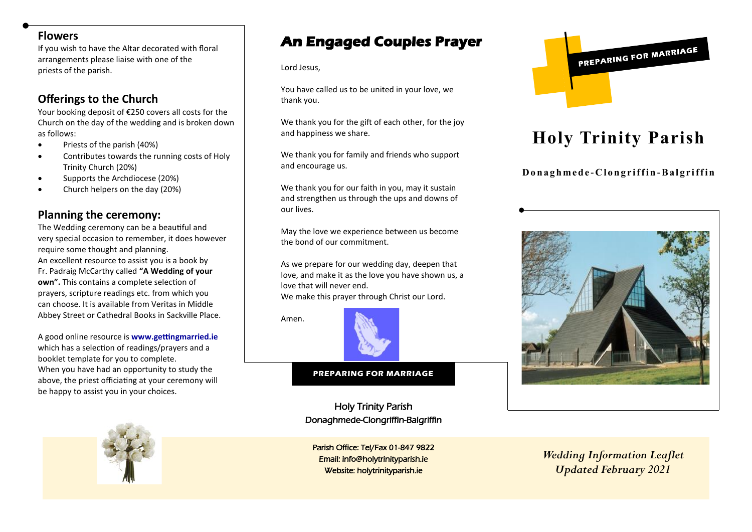#### **Flowers**

If you wish to have the Altar decorated with floral arrangements please liaise with one of the priests of the parish.

# **Offerings to the Church**

Your booking deposit of €250 covers all costs for the Church on the day of the wedding and is broken down as follows:

- Priests of the parish (40%)
- Contributes towards the running costs of Holy Trinity Church (20%)
- Supports the Archdiocese (20%)
- Church helpers on the day (20%)

## **Planning the ceremony:**

The Wedding ceremony can be a beautiful and very special occasion to remember, it does however require some thought and planning. An excellent resource to assist you is a book by Fr. Padraig McCarthy called **"A Wedding of your own".** This contains a complete selection of prayers, scripture readings etc. from which you can choose. It is available from Veritas in Middle Abbey Street or Cathedral Books in Sackville Place.

A good online resource is **www.gettingmarried.ie** which has a selection of readings/prayers and a booklet template for you to complete. When you have had an opportunity to study the above, the priest officiating at your ceremony will be happy to assist you in your choices.

# **An Engaged Couples Prayer**

Lord Jesus,

You have called us to be united in your love, we thank you.

We thank you for the gift of each other, for the joy and happiness we share.

We thank you for family and friends who support and encourage us.

We thank you for our faith in you, may it sustain and strengthen us through the ups and downs of our lives.

May the love we experience between us become the bond of our commitment.

As we prepare for our wedding day, deepen that love, and make it as the love you have shown us, a love that will never end. We make this prayer through Christ our Lord.

Amen.



#### **PREPARING FOR MARRIAGE**

Holy Trinity Parish Donaghmede-Clongriffin-Balgriffin

Parish Office: Tel/Fax 01-847 9822 Email: info@holytrinityparish.ie Website: holytrinityparish.ie



# **Holy Trinity Parish**

**D o n a g h m e d e -C l o n g r i f f i n -B a l g r i f f i n**



*Wedding Information Leaflet Updated February 2021*